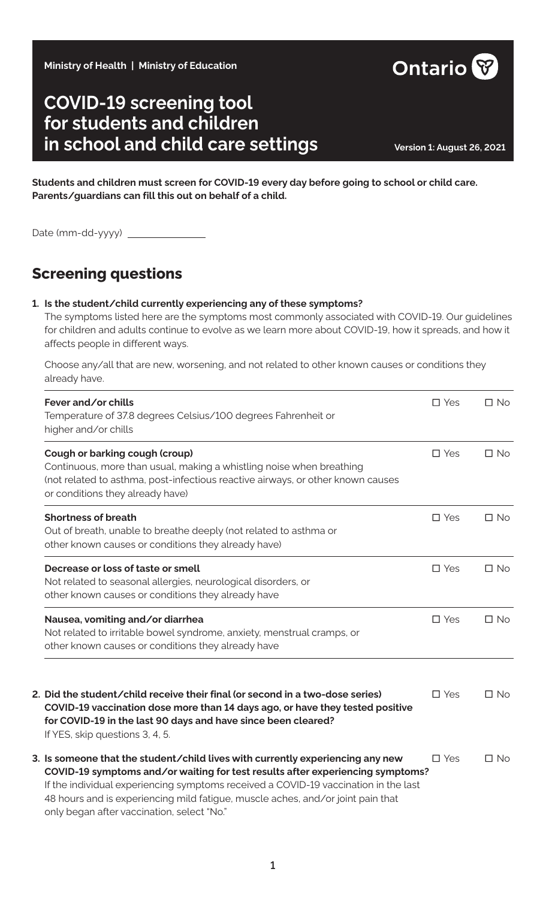**Ministry of Health | Ministry of Education**

# **COVID-19 screening tool for students and children in school and child care settings Version 1: August 26, 2021**

**Students and children must screen for COVID-19 every day before going to school or child care. Parents/guardians can fill this out on behalf of a child.**

Date (mm-dd-yyyy)

## **Screening questions**

#### **1. Is the student/child currently experiencing any of these symptoms?**

The symptoms listed here are the symptoms most commonly associated with COVID-19. Our guidelines for children and adults continue to evolve as we learn more about COVID-19, how it spreads, and how it affects people in different ways.

Choose any/all that are new, worsening, and not related to other known causes or conditions they already have.

| Fever and/or chills<br>Temperature of 37.8 degrees Celsius/100 degrees Fahrenheit or<br>higher and/or chills                                                                                                                                                                                                                                                                             | $\square$ Yes | $\Box$ No    |
|------------------------------------------------------------------------------------------------------------------------------------------------------------------------------------------------------------------------------------------------------------------------------------------------------------------------------------------------------------------------------------------|---------------|--------------|
| Cough or barking cough (croup)<br>Continuous, more than usual, making a whistling noise when breathing<br>(not related to asthma, post-infectious reactive airways, or other known causes<br>or conditions they already have)                                                                                                                                                            | $\square$ Yes | $\Box$ No    |
| <b>Shortness of breath</b><br>Out of breath, unable to breathe deeply (not related to asthma or<br>other known causes or conditions they already have)                                                                                                                                                                                                                                   | $\square$ Yes | $\Box$ No    |
| Decrease or loss of taste or smell<br>Not related to seasonal allergies, neurological disorders, or<br>other known causes or conditions they already have                                                                                                                                                                                                                                | $\square$ Yes | $\Box$ No    |
| Nausea, vomiting and/or diarrhea<br>Not related to irritable bowel syndrome, anxiety, menstrual cramps, or<br>other known causes or conditions they already have                                                                                                                                                                                                                         | $\square$ Yes | $\Box$ No    |
| 2. Did the student/child receive their final (or second in a two-dose series)<br>COVID-19 vaccination dose more than 14 days ago, or have they tested positive<br>for COVID-19 in the last 90 days and have since been cleared?<br>If YES, skip questions 3, 4, 5.                                                                                                                       | $\square$ Yes | $\square$ No |
| 3. Is someone that the student/child lives with currently experiencing any new<br>COVID-19 symptoms and/or waiting for test results after experiencing symptoms?<br>If the individual experiencing symptoms received a COVID-19 vaccination in the last<br>48 hours and is experiencing mild fatigue, muscle aches, and/or joint pain that<br>only began after vaccination, select "No." | $\square$ Yes | $\Box$ No    |

**Ontario**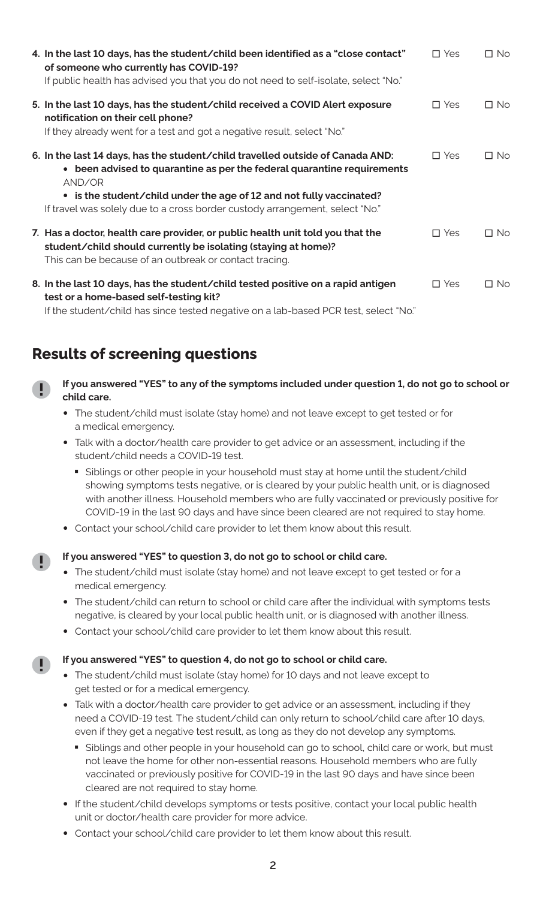| 4. In the last 10 days, has the student/child been identified as a "close contact"<br>of someone who currently has COVID-19?<br>If public health has advised you that you do not need to self-isolate, select "No."                                                                                                         | $\Box$ Yes | $\square$ No |
|-----------------------------------------------------------------------------------------------------------------------------------------------------------------------------------------------------------------------------------------------------------------------------------------------------------------------------|------------|--------------|
| 5. In the last 10 days, has the student/child received a COVID Alert exposure<br>notification on their cell phone?<br>If they already went for a test and got a negative result, select "No."                                                                                                                               | $\Box$ Yes | $\Box$ No    |
| 6. In the last 14 days, has the student/child travelled outside of Canada AND:<br>• been advised to quarantine as per the federal quarantine requirements<br>AND/OR<br>• is the student/child under the age of 12 and not fully vaccinated?<br>If travel was solely due to a cross border custody arrangement, select "No." | $\Box$ Yes | $\Box$ No    |
| 7. Has a doctor, health care provider, or public health unit told you that the<br>student/child should currently be isolating (staying at home)?<br>This can be because of an outbreak or contact tracing.                                                                                                                  | $\Box$ Yes | $\Box$ No    |
| 8. In the last 10 days, has the student/child tested positive on a rapid antigen<br>test or a home-based self-testing kit?                                                                                                                                                                                                  | $\Box$ Yes | $\square$ No |

If the student/child has since tested negative on a lab-based PCR test, select "No."

### **Results of screening questions**

D

- **If you answered "YES" to any of the symptoms included under question 1, do not go to school or child care.**
	- **•** The student/child must isolate (stay home) and not leave except to get tested or for a medical emergency.
	- **•** Talk with a doctor/health care provider to get advice or an assessment, including if the student/child needs a COVID-19 test.
		- Siblings or other people in your household must stay at home until the student/child showing symptoms tests negative, or is cleared by your public health unit, or is diagnosed with another illness. Household members who are fully vaccinated or previously positive for COVID-19 in the last 90 days and have since been cleared are not required to stay home.
	- **•** Contact your school/child care provider to let them know about this result.

#### **If you answered "YES" to question 3, do not go to school or child care.**

- **•** The student/child must isolate (stay home) and not leave except to get tested or for a medical emergency.
- **•** The student/child can return to school or child care after the individual with symptoms tests negative, is cleared by your local public health unit, or is diagnosed with another illness.
- **•** Contact your school/child care provider to let them know about this result.

#### **If you answered "YES" to question 4, do not go to school or child care.**

- **•** The student/child must isolate (stay home) for 10 days and not leave except to get tested or for a medical emergency.
- **•** Talk with a doctor/health care provider to get advice or an assessment, including if they need a COVID-19 test. The student/child can only return to school/child care after 10 days, even if they get a negative test result, as long as they do not develop any symptoms.
	- Siblings and other people in your household can go to school, child care or work, but must not leave the home for other non-essential reasons. Household members who are fully vaccinated or previously positive for COVID-19 in the last 90 days and have since been cleared are not required to stay home.
- **•** If the student/child develops symptoms or tests positive, contact your local public health unit or doctor/health care provider for more advice.
- **•** Contact your school/child care provider to let them know about this result.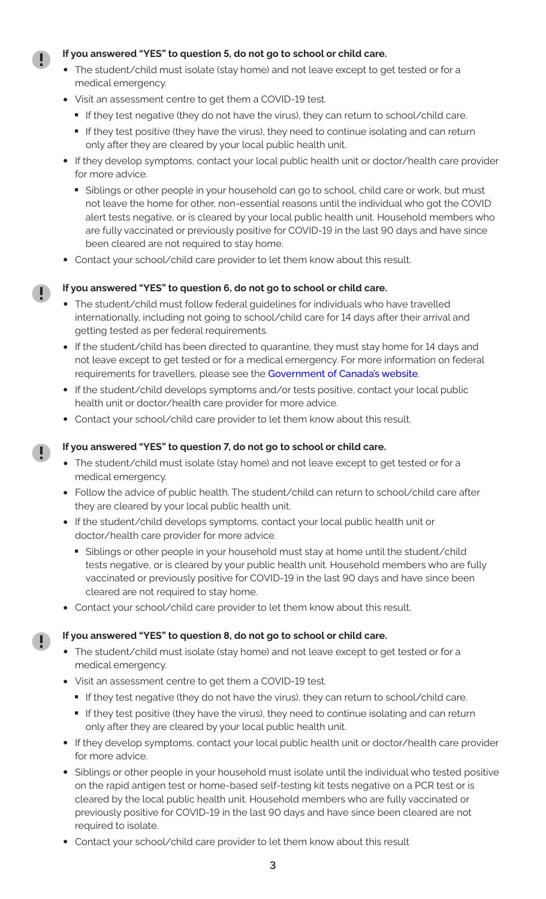#### **If you answered "YES" to question 5, do not go to school or child care.**

- **•** The student/child must isolate (stay home) and not leave except to get tested or for a medical emergency.
- **•** Visit an assessment centre to get them a COVID-19 test.
	- If they test negative (they do not have the virus), they can return to school/child care.<br>■ If they test positive (they have the virus), they need to continue isolating and can return
	- only after they are cleared by your local public health unit.
- **•** If they develop symptoms, contact your local public health unit or doctor/health care provider for more advice.
	- Siblings or other people in your household can go to school, child care or work, but must not leave the home for other, non-essential reasons until the individual who got the COVID alert tests negative, or is cleared by your local public health unit. Household members who are fully vaccinated or previously positive for COVID-19 in the last 90 days and have since been cleared are not required to stay home.
- **•** Contact your school/child care provider to let them know about this result.

#### **If you answered "YES" to question 6, do not go to school or child care.**

- **•** The student/child must follow federal guidelines for individuals who have travelled internationally, including not going to school/child care for 14 days after their arrival and getting tested as per federal requirements.
- **•** If the student/child has been directed to quarantine, they must stay home for 14 days and not leave except to get tested or for a medical emergency. For more information on federal requirements for travellers, please see the [Government of Canada's website](https://travel.gc.ca/travel-covid/travel-restrictions/isolation).
- **•** If the student/child develops symptoms and/or tests positive, contact your local public health unit or doctor/health care provider for more advice.
- **•** Contact your school/child care provider to let them know about this result.

#### **If you answered "YES" to question 7, do not go to school or child care.**

- **•** The student/child must isolate (stay home) and not leave except to get tested or for a medical emergency.
- **•** Follow the advice of public health. The student/child can return to school/child care after they are cleared by your local public health unit.
- **•** If the student/child develops symptoms, contact your local public health unit or doctor/health care provider for more advice.
	- Siblings or other people in your household must stay at home until the student/child tests negative, or is cleared by your public health unit. Household members who are fully vaccinated or previously positive for COVID-19 in the last 90 days and have since been cleared are not required to stay home.
- **•** Contact your school/child care provider to let them know about this result.

#### **If you answered "YES" to question 8, do not go to school or child care.**

- **•** The student/child must isolate (stay home) and not leave except to get tested or for a medical emergency.
- **•** Visit an assessment centre to get them a COVID-19 test.
	-
	- If they test negative (they do not have the virus), they can return to school/child care.<br>■ If they test positive (they have the virus), they need to continue isolating and can return only after they are cleared by your local public health unit.
- **•** If they develop symptoms, contact your local public health unit or doctor/health care provider for more advice.
- **•** Siblings or other people in your household must isolate until the individual who tested positive on the rapid antigen test or home-based self-testing kit tests negative on a PCR test or is cleared by the local public health unit. Household members who are fully vaccinated or previously positive for COVID-19 in the last 90 days and have since been cleared are not required to isolate.
- **•** Contact your school/child care provider to let them know about this result